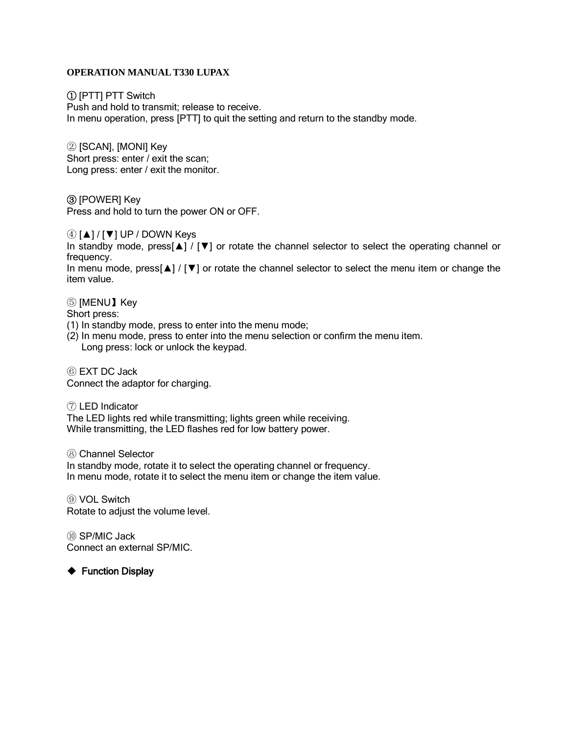#### **OPERATION MANUAL T330 LUPAX**

① [PTT] PTT Switch

Push and hold to transmit; release to receive. In menu operation, press [PTT] to quit the setting and return to the standby mode.

② [SCAN], [MONI] Key Short press: enter / exit the scan; Long press: enter / exit the monitor.

③ [POWER] Key Press and hold to turn the power ON or OFF.

④ [▲] / [▼] UP / DOWN Keys

In standby mode, press[▲] / [▼] or rotate the channel selector to select the operating channel or frequency.

In menu mode, press[▲] / [▼] or rotate the channel selector to select the menu item or change the item value.

⑤ [MENU】Key

Short press:

- (1) In standby mode, press to enter into the menu mode;
- (2) In menu mode, press to enter into the menu selection or confirm the menu item. Long press: lock or unlock the keypad.

⑥ EXT DC Jack Connect the adaptor for charging.

⑦ LED Indicator

The LED lights red while transmitting; lights green while receiving. While transmitting, the LED flashes red for low battery power.

⑧ Channel Selector

In standby mode, rotate it to select the operating channel or frequency. In menu mode, rotate it to select the menu item or change the item value.

⑨ VOL Switch Rotate to adjust the volume level.

⑩ SP/MIC Jack Connect an external SP/MIC.

◆ Function Display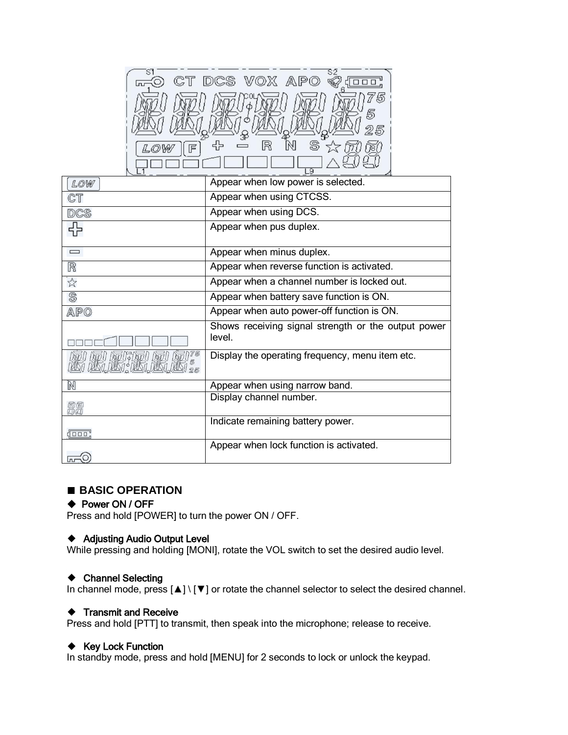| DCS VOX AP<br>CT. |  |
|-------------------|--|
|                   |  |
| 占                 |  |
| S<br>R<br>巨       |  |
| <b>Q</b>          |  |

| LOW          | Appear when low power is selected.                  |
|--------------|-----------------------------------------------------|
| CT           | Appear when using CTCSS.                            |
| DCS          | Appear when using DCS.                              |
|              | Appear when pus duplex.                             |
|              |                                                     |
| $\Box$       | Appear when minus duplex.                           |
| R            | Appear when reverse function is activated.          |
| ☆            | Appear when a channel number is locked out.         |
| S            | Appear when battery save function is ON.            |
| APO          | Appear when auto power-off function is ON.          |
|              | Shows receiving signal strength or the output power |
|              | level.                                              |
|              | Display the operating frequency, menu item etc.     |
| Ñ            | Appear when using narrow band.                      |
|              | Display channel number.                             |
|              |                                                     |
|              | Indicate remaining battery power.                   |
| $\sqrt{100}$ |                                                     |
|              | Appear when lock function is activated.             |
| 0.           |                                                     |

## **■ BASIC OPERATION**

#### ◆ Power ON / OFF

Press and hold [POWER] to turn the power ON / OFF.

## ◆ Adjusting Audio Output Level

While pressing and holding [MONI], rotate the VOL switch to set the desired audio level.

#### ◆ Channel Selecting

In channel mode, press [▲] \ [▼] or rotate the channel selector to select the desired channel.

## ◆ Transmit and Receive

Press and hold [PTT] to transmit, then speak into the microphone; release to receive.

#### ◆ Key Lock Function

In standby mode, press and hold [MENU] for 2 seconds to lock or unlock the keypad.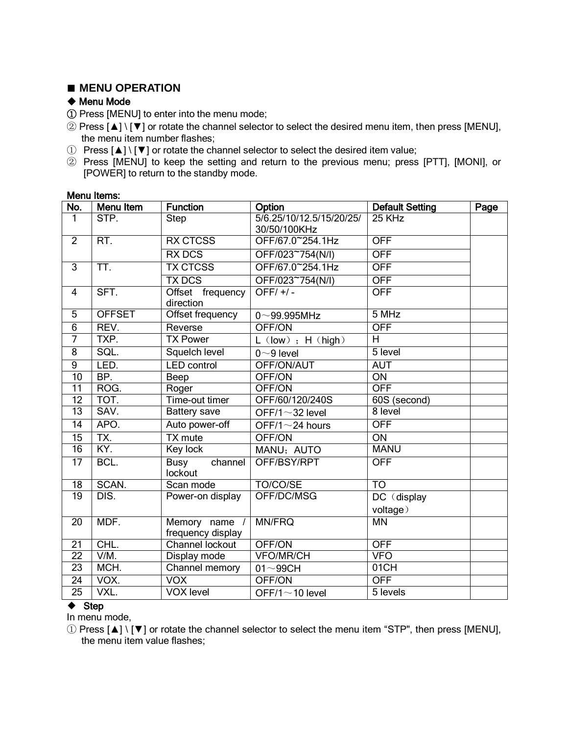# **■ MENU OPERATION**

# ◆ Menu Mode

① Press [MENU] to enter into the menu mode;

- ② Press [▲] \ [▼] or rotate the channel selector to select the desired menu item, then press [MENU], the menu item number flashes;
- ① Press [▲] \ [▼] or rotate the channel selector to select the desired item value;
- ② Press [MENU] to keep the setting and return to the previous menu; press [PTT], [MONI], or [POWER] to return to the standby mode.

| No.             | <b>Menu Item</b> | <b>Function</b>                                | Option<br><b>Default Setting</b><br>Page |                 |  |
|-----------------|------------------|------------------------------------------------|------------------------------------------|-----------------|--|
| 1               | STP.             | Step                                           | 5/6.25/10/12.5/15/20/25/<br>30/50/100KHz | 25 KHz          |  |
| $\overline{2}$  | RT.              | <b>RX CTCSS</b>                                | OFF/67.0~254.1Hz                         | <b>OFF</b>      |  |
|                 |                  | <b>RX DCS</b>                                  | OFF/023~754(N/I)                         | <b>OFF</b>      |  |
| 3               | TT.              | <b>TX CTCSS</b>                                | OFF/67.0~254.1Hz                         | <b>OFF</b>      |  |
|                 |                  | <b>TX DCS</b>                                  | OFF/023~754(N/I)                         | <b>OFF</b>      |  |
| $\overline{4}$  | SFT.             | Offset frequency<br>direction                  | OFF/ $+/-$                               | <b>OFF</b>      |  |
| $\overline{5}$  | <b>OFFSET</b>    | Offset frequency                               | $0 - 99.995$ MHz                         | 5 MHz           |  |
| $\overline{6}$  | REV.             | Reverse                                        | OFF/ON                                   | <b>OFF</b>      |  |
| $\overline{7}$  | TXP.             | <b>TX Power</b>                                | $L$ (low) ; H (high)                     | $\overline{H}$  |  |
| $\overline{8}$  | SQL.             | Squelch level                                  | $0~9$ level                              | $5$ level       |  |
| $\overline{9}$  | LED.             | <b>LED</b> control                             | OFF/ON/AUT                               | <b>AUT</b>      |  |
| 10              | BP.              | Beep                                           | OFF/ON                                   | $\overline{ON}$ |  |
| $\overline{11}$ | ROG.             | Roger                                          | OFF/ON                                   | <b>OFF</b>      |  |
| 12              | TOT.             | Time-out timer                                 | OFF/60/120/240S                          | 60S (second)    |  |
| $\overline{13}$ | SAV.             | <b>Battery save</b>                            | OFF/1 $\sim$ 32 level                    | 8 level         |  |
| $\overline{14}$ | APO.             | Auto power-off                                 | OFF/1 $\sim$ 24 hours                    | <b>OFF</b>      |  |
| 15              | TX.              | <b>TX</b> mute                                 | OFF/ON                                   | ON              |  |
| $\overline{16}$ | KY.              | Key lock                                       | MANU; AUTO                               | <b>MANU</b>     |  |
| $\overline{17}$ | BCL.             | <b>Busy</b><br>$\overline{channel}$<br>lockout | OFF/BSY/RPT                              | <b>OFF</b>      |  |
| 18              | SCAN.            | Scan mode                                      | TO/CO/SE                                 | TO              |  |
| 19              | DIS.             | Power-on display                               | OFF/DC/MSG                               | DC (display     |  |
|                 |                  |                                                |                                          | voltage)        |  |
| 20              | MDF.             | Memory name /<br>frequency display             | <b>MN/FRQ</b>                            | $\overline{MN}$ |  |
| $\overline{21}$ | CHL.             | Channel lockout                                | OFF/ON                                   | <b>OFF</b>      |  |
| $\overline{22}$ | $V/M$ .          | Display mode                                   | <b>VFO/MR/CH</b>                         | <b>VFO</b>      |  |
| 23              | MCH.             | Channel memory                                 | $01 - 99CH$                              | 01CH            |  |
| 24              | VOX.             | <b>VOX</b>                                     | OFF/ON                                   | <b>OFF</b>      |  |
| $\overline{25}$ | VXL.             | <b>VOX level</b>                               | OFF/1 $\sim$ 10 level                    | 5 levels        |  |

## Menu Items:

#### ◆ Step

In menu mode,

① Press [▲] \ [▼] or rotate the channel selector to select the menu item "STP", then press [MENU], the menu item value flashes;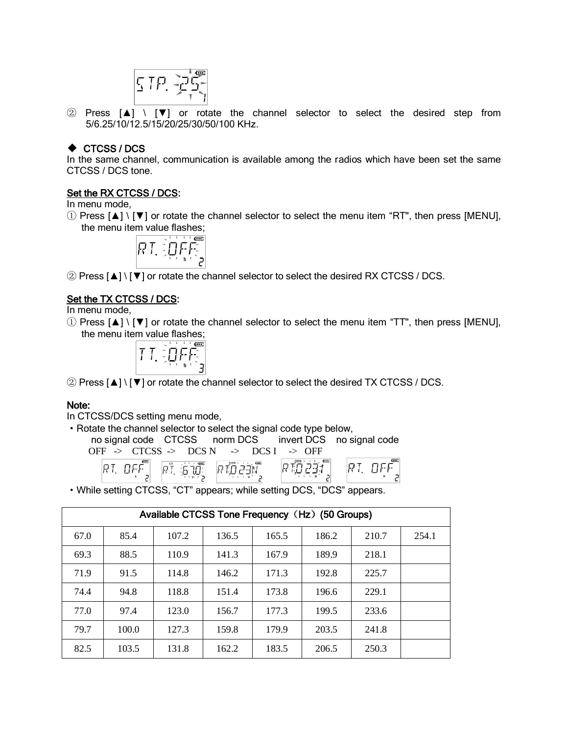$$
\overline{\mathcal{L}}_{\text{max}} = \sum_{i=1}^{n} \sum_{j=1}^{n} \mathcal{L}_{\text{max}} = \sum_{i=1}^{n} \mathcal{L}_{\text{max}} = \sum_{i=1}^{n} \mathcal{L}_{\text{max}} = \sum_{i=1}^{n} \mathcal{L}_{\text{max}} = \sum_{i=1}^{n} \mathcal{L}_{\text{max}} = \sum_{i=1}^{n} \mathcal{L}_{\text{max}} = \sum_{i=1}^{n} \mathcal{L}_{\text{max}} = \sum_{i=1}^{n} \mathcal{L}_{\text{max}} = \sum_{i=1}^{n} \mathcal{L}_{\text{max}} = \sum_{i=1}^{n} \mathcal{L}_{\text{max}} = \sum_{i=1}^{n} \mathcal{L}_{\text{max}} = \sum_{i=1}^{n} \mathcal{L}_{\text{max}} = \sum_{i=1}^{n} \mathcal{L}_{\text{max}} = \sum_{i=1}^{n} \mathcal{L}_{\text{max}} = \sum_{i=1}^{n} \mathcal{L}_{\text{max}} = \sum_{i=1}^{n} \mathcal{L}_{\text{max}} = \sum_{i=1}^{n} \mathcal{L}_{\text{max}} = \sum_{i=1}^{n} \mathcal{L}_{\text{max}} = \sum_{i=1}^{n} \mathcal{L}_{\text{max}} = \sum_{i=1}^{n} \mathcal{L}_{\text{max}} = \sum_{i=1}^{n} \mathcal{L}_{\text{max}} = \sum_{i=1}^{n} \mathcal{L}_{\text{max}} = \sum_{i=1}^{n} \mathcal{L}_{\text{max}} = \sum_{i=1}^{n} \mathcal{L}_{\text{max}} = \sum_{i=1}^{n} \mathcal{L}_{\text{max}} = \sum_{i=1}^{n} \mathcal{L}_{\text{max}} = \sum_{i=1}^{n} \mathcal{L}_{\text{max}} = \sum_{i=1}^{n} \mathcal{L}_{\text{max}} = \sum_{i=1}^{n} \mathcal{L}_{\text{max}} = \sum_{i=1}^{n} \mathcal{L}_{\text{max}} = \sum_{i=1}^{n} \mathcal{L}_{\text{max}} = \sum_{i=1}^{n} \mathcal{L}_{\text{max}} = \sum_{i=1}^{n} \mathcal{L}_{\text{max}} = \sum_{i=1}^{
$$

② Press [▲] \ [▼] or rotate the channel selector to select the desired step from 5/6.25/10/12.5/15/20/25/30/50/100 KHz.

## ◆ CTCSS / DCS

In the same channel, communication is available among the radios which have been set the same CTCSS / DCS tone.

## Set the RX CTCSS / DCS:

In menu mode,

① Press [▲] \ [▼] or rotate the channel selector to select the menu item "RT", then press [MENU], the menu item value flashes;

$$
\sqrt{17} = 1.5
$$

② Press [▲] \ [▼] or rotate the channel selector to select the desired RX CTCSS / DCS.

## Set the TX CTCSS / DCS:

In menu mode,

① Press [▲] \ [▼] or rotate the channel selector to select the menu item "TT", then press [MENU], the menu item value flashes;

$$
\boxed{1\ \ \frac{1}{2}\,\frac{1}{2}\,\frac{1}{2}\,\frac{1}{2}\,\frac{1}{2}\,\frac{1}{2}\,\frac{1}{2}\,\frac{1}{2}\,\frac{1}{2}\,\frac{1}{2}\,\frac{1}{2}\,\frac{1}{2}\,\frac{1}{2}\,\frac{1}{2}\,\frac{1}{2}\,\frac{1}{2}\,\frac{1}{2}\,\frac{1}{2}\,\frac{1}{2}\,\frac{1}{2}\,\frac{1}{2}\,\frac{1}{2}\,\frac{1}{2}\,\frac{1}{2}\,\frac{1}{2}\,\frac{1}{2}\,\frac{1}{2}\,\frac{1}{2}\,\frac{1}{2}\,\frac{1}{2}\,\frac{1}{2}\,\frac{1}{2}\,\frac{1}{2}\,\frac{1}{2}\,\frac{1}{2}\,\frac{1}{2}\,\frac{1}{2}\,\frac{1}{2}\,\frac{1}{2}\,\frac{1}{2}\,\frac{1}{2}\,\frac{1}{2}\,\frac{1}{2}\,\frac{1}{2}\,\frac{1}{2}\,\frac{1}{2}\,\frac{1}{2}\,\frac{1}{2}\,\frac{1}{2}\,\frac{1}{2}\,\frac{1}{2}\,\frac{1}{2}\,\frac{1}{2}\,\frac{1}{2}\,\frac{1}{2}\,\frac{1}{2}\,\frac{1}{2}\,\frac{1}{2}\,\frac{1}{2}\,\frac{1}{2}\,\frac{1}{2}\,\frac{1}{2}\,\frac{1}{2}\,\frac{1}{2}\,\frac{1}{2}\,\frac{1}{2}\,\frac{1}{2}\,\frac{1}{2}\,\frac{1}{2}\,\frac{1}{2}\,\frac{1}{2}\,\frac{1}{2}\,\frac{1}{2}\,\frac{1}{2}\,\frac{1}{2}\,\frac{1}{2}\,\frac{1}{2}\,\frac{1}{2}\,\frac{1}{2}\,\frac{1}{2}\,\frac{1}{2}\,\frac{1}{2}\,\frac{1}{2}\,\frac{1}{2}\,\frac{1}{2}\,\frac{1}{2}\,\frac{1}{2}\,\frac{1}{2}\,\frac{1}{2}\,\frac{1}{2}\,\frac{1}{2}\,\frac{1}{2}\,\frac{1}{2}\,\frac{1}{2}\,\frac{1}{2}\,\frac{1}{2}\,\frac{1}{2}\,\frac{1}{2}\,\frac{1}{2}\,\frac{1}{2}\,\frac{1}{2}\,\frac{1}{2}\,\frac{1}{2}\,\frac{1}{2}\,\frac{1}{2}\,\frac{1}{2}\,\frac{1}{2}\,\frac{
$$

② Press [▲] \ [▼] or rotate the channel selector to select the desired TX CTCSS / DCS.

#### Note:

In CTCSS/DCS setting menu mode,

·Rotate the channel selector to select the signal code type below,

no signal code CTCSS norm DCS invert DCS no signal code

$$
OFF \rightarrow CTCSS \rightarrow DCS N \rightarrow DCS I \rightarrow OFF
$$

·While setting CTCSS, "CT" appears; while setting DCS, "DCS" appears.

|      | Available CTCSS Tone Frequency (Hz) (50 Groups) |       |       |       |       |       |       |
|------|-------------------------------------------------|-------|-------|-------|-------|-------|-------|
| 67.0 | 85.4                                            | 107.2 | 136.5 | 165.5 | 186.2 | 210.7 | 254.1 |
| 69.3 | 88.5                                            | 110.9 | 141.3 | 167.9 | 189.9 | 218.1 |       |
| 71.9 | 91.5                                            | 114.8 | 146.2 | 171.3 | 192.8 | 225.7 |       |
| 74.4 | 94.8                                            | 118.8 | 151.4 | 173.8 | 196.6 | 229.1 |       |
| 77.0 | 97.4                                            | 123.0 | 156.7 | 177.3 | 199.5 | 233.6 |       |
| 79.7 | 100.0                                           | 127.3 | 159.8 | 179.9 | 203.5 | 241.8 |       |
| 82.5 | 103.5                                           | 131.8 | 162.2 | 183.5 | 206.5 | 250.3 |       |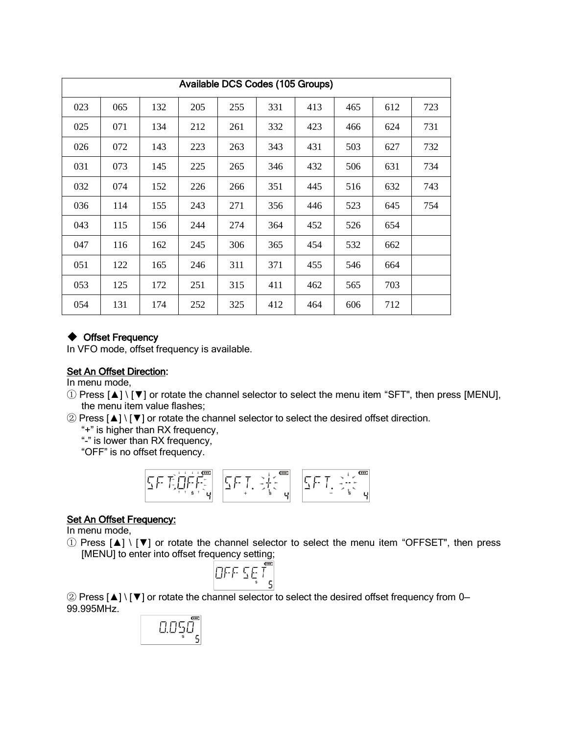|     | Available DCS Codes (105 Groups) |     |     |     |     |     |     |     |     |
|-----|----------------------------------|-----|-----|-----|-----|-----|-----|-----|-----|
| 023 | 065                              | 132 | 205 | 255 | 331 | 413 | 465 | 612 | 723 |
| 025 | 071                              | 134 | 212 | 261 | 332 | 423 | 466 | 624 | 731 |
| 026 | 072                              | 143 | 223 | 263 | 343 | 431 | 503 | 627 | 732 |
| 031 | 073                              | 145 | 225 | 265 | 346 | 432 | 506 | 631 | 734 |
| 032 | 074                              | 152 | 226 | 266 | 351 | 445 | 516 | 632 | 743 |
| 036 | 114                              | 155 | 243 | 271 | 356 | 446 | 523 | 645 | 754 |
| 043 | 115                              | 156 | 244 | 274 | 364 | 452 | 526 | 654 |     |
| 047 | 116                              | 162 | 245 | 306 | 365 | 454 | 532 | 662 |     |
| 051 | 122                              | 165 | 246 | 311 | 371 | 455 | 546 | 664 |     |
| 053 | 125                              | 172 | 251 | 315 | 411 | 462 | 565 | 703 |     |
| 054 | 131                              | 174 | 252 | 325 | 412 | 464 | 606 | 712 |     |

# ◆ Offset Frequency

In VFO mode, offset frequency is available.

# Set An Offset Direction:

In menu mode,

- ① Press [▲] \ [▼] or rotate the channel selector to select the menu item "SFT", then press [MENU], the menu item value flashes;
- ② Press [▲] \ [▼] or rotate the channel selector to select the desired offset direction.

"+" is higher than RX frequency,

"-" is lower than RX frequency,

"OFF" is no offset frequency.

$$
\boxed{\frac{1}{2}\sum_{i=1}^{n}\sum_{i=1}^{n}\prod_{j=1}^{n}\sum_{j=1}^{n}\sum_{j=1}^{n}\left|\frac{1}{2}\sum_{i=1}^{n}\prod_{j=1}^{n}\sum_{j=1}^{n}\sum_{j=1}^{n}\sum_{j=1}^{n}\left|\frac{1}{2}\sum_{j=1}^{n}\prod_{j=1}^{n}\sum_{j=1}^{n}\sum_{j=1}^{n}\sum_{j=1}^{n}\left|\frac{1}{2}\sum_{j=1}^{n}\prod_{j=1}^{n}\sum_{j=1}^{n}\sum_{j=1}^{n}\sum_{j=1}^{n}\left|\frac{1}{2}\sum_{j=1}^{n}\prod_{j=1}^{n}\sum_{j=1}^{n}\sum_{j=1}^{n}\left|\frac{1}{2}\sum_{j=1}^{n}\prod_{j=1}^{n}\sum_{j=1}^{n}\sum_{j=1}^{n}\left|\frac{1}{2}\sum_{j=1}^{n}\sum_{j=1}^{n}\sum_{j=1}^{n}\left|\frac{1}{2}\sum_{j=1}^{n}\sum_{j=1}^{n}\sum_{j=1}^{n}\sum_{j=1}^{n}\left|\frac{1}{2}\sum_{j=1}^{n}\sum_{j=1}^{n}\sum_{j=1}^{n}\sum_{j=1}^{n}\left|\frac{1}{2}\sum_{j=1}^{n}\sum_{j=1}^{n}\sum_{j=1}^{n}\sum_{j=1}^{n}\left|\frac{1}{2}\sum_{j=1}^{n}\sum_{j=1}^{n}\sum_{j=1}^{n}\left|\frac{1}{2}\sum_{j=1}^{n}\sum_{j=1}^{n}\sum_{j=1}^{n}\left|\frac{1}{2}\sum_{j=1}^{n}\sum_{j=1}^{n}\sum_{j=1}^{n}\left|\frac{1}{2}\sum_{j=1}^{n}\sum_{j=1}^{n}\sum_{j=1}^{n}\left|\frac{1}{2}\sum_{j=1}^{n}\sum_{j=1}^{n}\sum_{j=1}^{n}\left|\frac{1}{2}\sum_{j=1}^{n}\sum_{j=1}^{n}\sum_{j=1}^{n}\left|\frac{1}{2}\sum_{j=1}^{n}\sum_{j=1}^{n}\sum_{j=1}^{n}\left|\frac{1}{2}\sum_{j=1}^{n}\sum_{j=1}^{n}\sum_{j=1}^{n}\left|\frac{1}{2}\sum_{j=
$$

## **Set An Offset Frequency:**

In menu mode,

① Press [▲] \ [▼] or rotate the channel selector to select the menu item "OFFSET", then press [MENU] to enter into offset frequency setting;

$$
\overline{\text{OLE}}\, \overline{\text{SE}}\, \overline{\text{T}}_{\text{s}}^{\text{eff}}
$$

② Press [▲] \ [▼] or rotate the channel selector to select the desired offset frequency from 0— 99.995MHz.

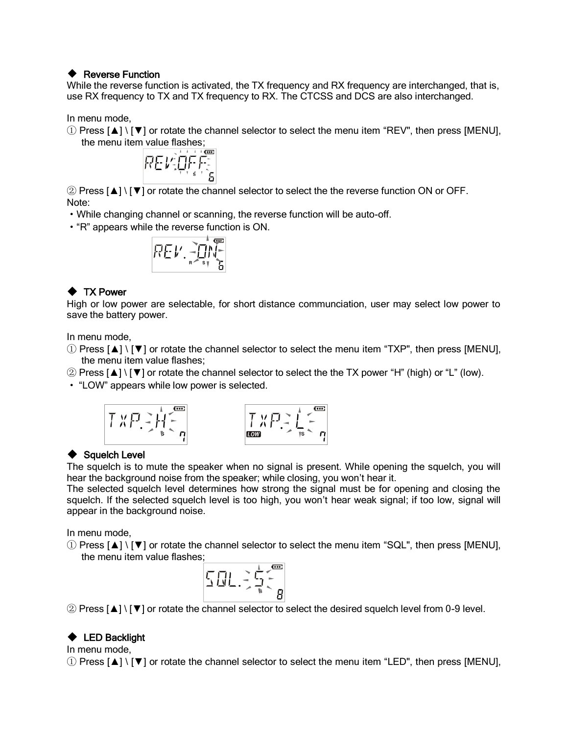#### ◆ Reverse Function

While the reverse function is activated, the TX frequency and RX frequency are interchanged, that is, use RX frequency to TX and TX frequency to RX. The CTCSS and DCS are also interchanged.

In menu mode,

① Press [▲] \ [▼] or rotate the channel selector to select the menu item "REV", then press [MENU],



② Press [▲] \ [▼] or rotate the channel selector to select the the reverse function ON or OFF. Note:

- ·While changing channel or scanning, the reverse function will be auto-off.
- ·"R" appears while the reverse function is ON.

$$
\overline{R} = \mathbf{1} \cdot \mathbf{1} \cdot \mathbf{1} \cdot \mathbf{1} \cdot \mathbf{1} \cdot \mathbf{1} \cdot \mathbf{1} \cdot \mathbf{1} \cdot \mathbf{1} \cdot \mathbf{1} \cdot \mathbf{1} \cdot \mathbf{1} \cdot \mathbf{1} \cdot \mathbf{1} \cdot \mathbf{1} \cdot \mathbf{1} \cdot \mathbf{1} \cdot \mathbf{1} \cdot \mathbf{1} \cdot \mathbf{1} \cdot \mathbf{1} \cdot \mathbf{1} \cdot \mathbf{1} \cdot \mathbf{1} \cdot \mathbf{1} \cdot \mathbf{1} \cdot \mathbf{1} \cdot \mathbf{1} \cdot \mathbf{1} \cdot \mathbf{1} \cdot \mathbf{1} \cdot \mathbf{1} \cdot \mathbf{1} \cdot \mathbf{1} \cdot \mathbf{1} \cdot \mathbf{1} \cdot \mathbf{1} \cdot \mathbf{1} \cdot \mathbf{1} \cdot \mathbf{1} \cdot \mathbf{1} \cdot \mathbf{1} \cdot \mathbf{1} \cdot \mathbf{1} \cdot \mathbf{1} \cdot \mathbf{1} \cdot \mathbf{1} \cdot \mathbf{1} \cdot \mathbf{1} \cdot \mathbf{1} \cdot \mathbf{1} \cdot \mathbf{1} \cdot \mathbf{1} \cdot \mathbf{1} \cdot \mathbf{1} \cdot \mathbf{1} \cdot \mathbf{1} \cdot \mathbf{1} \cdot \mathbf{1} \cdot \mathbf{1} \cdot \mathbf{1} \cdot \mathbf{1} \cdot \mathbf{1} \cdot \mathbf{1} \cdot \mathbf{1} \cdot \mathbf{1} \cdot \mathbf{1} \cdot \mathbf{1} \cdot \mathbf{1} \cdot \mathbf{1} \cdot \mathbf{1} \cdot \mathbf{1} \cdot \mathbf{1} \cdot \mathbf{1} \cdot \mathbf{1} \cdot \mathbf{1} \cdot \mathbf{1} \cdot \mathbf{1} \cdot \mathbf{1} \cdot \mathbf{1} \cdot \mathbf{1} \cdot \mathbf{1} \cdot \mathbf{1} \cdot \mathbf{1} \cdot \mathbf{1} \cdot \mathbf{1} \cdot \mathbf{1} \cdot \mathbf{1} \cdot \mathbf{1} \cdot \mathbf{1} \cdot \mathbf{1} \cdot \mathbf{1} \cdot \mathbf{1} \cdot \mathbf{1} \cdot \
$$

# ◆ TX Power

High or low power are selectable, for short distance communciation, user may select low power to save the battery power.

In menu mode,

- ① Press [▲] \ [▼] or rotate the channel selector to select the menu item "TXP", then press [MENU], the menu item value flashes;
- ② Press [▲] \ [▼] or rotate the channel selector to select the the TX power "H" (high) or "L" (low).

· "LOW" appears while low power is selected.



## ◆ Squelch Level

The squelch is to mute the speaker when no signal is present. While opening the squelch, you will hear the background noise from the speaker; while closing, you won't hear it.

The selected squelch level determines how strong the signal must be for opening and closing the squelch. If the selected squelch level is too high, you won't hear weak signal; if too low, signal will appear in the background noise.

In menu mode,

① Press [▲] \ [▼] or rotate the channel selector to select the menu item "SQL", then press [MENU], the menu item value flashes;

$$
\sum_{i=1}^{n} \frac{1}{i} \prod_{j=1}^{n} \sum_{j=1}^{n} \sum_{j=1}^{n} \sum_{j=1}^{n} \sum_{j=1}^{n} \frac{1}{i} \sum_{j=1}^{n} \sum_{j=1}^{n} \frac{1}{i} \sum_{j=1}^{n} \sum_{j=1}^{n} \frac{1}{i} \sum_{j=1}^{n} \sum_{j=1}^{n} \frac{1}{i} \sum_{j=1}^{n} \sum_{j=1}^{n} \frac{1}{i} \sum_{j=1}^{n} \sum_{j=1}^{n} \frac{1}{i} \sum_{j=1}^{n} \sum_{j=1}^{n} \frac{1}{i} \sum_{j=1}^{n} \sum_{j=1}^{n} \frac{1}{i} \sum_{j=1}^{n} \sum_{j=1}^{n} \frac{1}{i} \sum_{j=1}^{n} \sum_{j=1}^{n} \frac{1}{i} \sum_{j=1}^{n} \sum_{j=1}^{n} \frac{1}{i} \sum_{j=1}^{n} \sum_{j=1}^{n} \frac{1}{i} \sum_{j=1}^{n} \sum_{j=1}^{n} \frac{1}{i} \sum_{j=1}^{n} \sum_{j=1}^{n} \frac{1}{i} \sum_{j=1}^{n} \sum_{j=1}^{n} \frac{1}{i} \sum_{j=1}^{n} \sum_{j=1}^{n} \frac{1}{i} \sum_{j=1}^{n} \sum_{j=1}^{n} \sum_{j=1}^{n} \frac{1}{i} \sum_{j=1}^{n} \sum_{j=1}^{n} \sum_{j=1}^{n} \sum_{j=1}^{n} \sum_{j=1}^{n} \sum_{j=1}^{n} \sum_{j=1}^{n} \sum_{j=1}^{n} \sum_{j=1}^{n} \sum_{j=1}^{n} \sum_{j=1}^{n} \sum_{j=1}^{n} \sum_{j=1}^{n} \sum_{j=1}^{n} \sum_{j=1}^{n} \sum_{j=1}^{n} \sum_{j=1}^{n} \sum_{j=1}^{n} \sum_{j=1}^{n} \sum_{j=1}^{n} \sum_{j=1}^{n} \sum_{j=1}^{n} \sum_{j=1}^{n} \sum_{j=1}^{n} \sum_{j
$$

② Press [▲] \ [▼] or rotate the channel selector to select the desired squelch level from 0-9 level.

# ◆ LED Backlight

In menu mode,

 $\Omega$  Press  $\Delta$  |  $\mathbf{V}$  | or rotate the channel selector to select the menu item "LED", then press [MENU],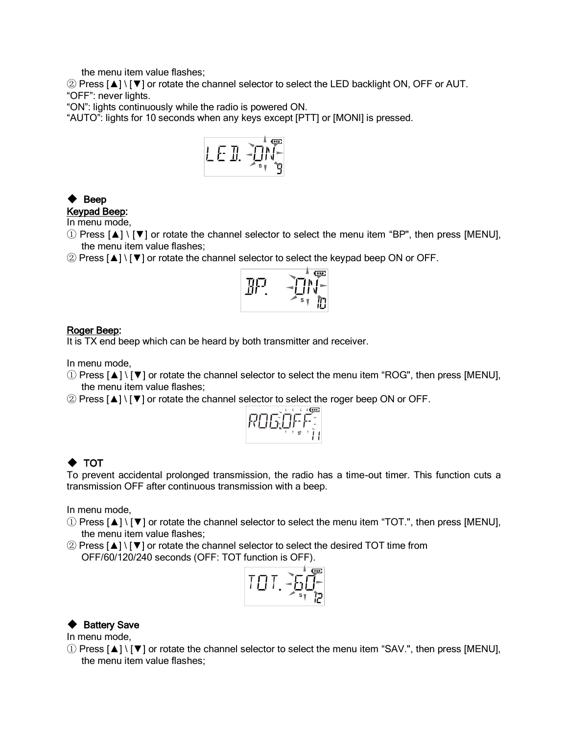the menu item value flashes;

② Press [▲] \ [▼] or rotate the channel selector to select the LED backlight ON, OFF or AUT. "OFF": never lights.

"ON": lights continuously while the radio is powered ON.

"AUTO": lights for 10 seconds when any keys except [PTT] or [MONI] is pressed.



# ◆ Beep

# Keypad Beep:

In menu mode,

- ① Press [▲] \ [▼] or rotate the channel selector to select the menu item "BP", then press [MENU], the menu item value flashes;
- ② Press [▲] \ [▼] or rotate the channel selector to select the keypad beep ON or OFF.



#### Roger Beep:

It is TX end beep which can be heard by both transmitter and receiver.

In menu mode,

- $\Omega$  Press  $\Delta$  |  $\nabla$  | or rotate the channel selector to select the menu item "ROG", then press [MENU], the menu item value flashes;
- ② Press [▲] \ [▼] or rotate the channel selector to select the roger beep ON or OFF.



# ◆ TOT

To prevent accidental prolonged transmission, the radio has a time-out timer. This function cuts a transmission OFF after continuous transmission with a beep.

In menu mode,

- $\Omega$  Press  $\Delta$  |  $\nabla$  | or rotate the channel selector to select the menu item "TOT.", then press [MENU], the menu item value flashes;
- ② Press [▲] \ [▼] or rotate the channel selector to select the desired TOT time from OFF/60/120/240 seconds (OFF: TOT function is OFF).



## ◆ Battery Save

In menu mode,

① Press [▲] \ [▼] or rotate the channel selector to select the menu item "SAV.", then press [MENU], the menu item value flashes;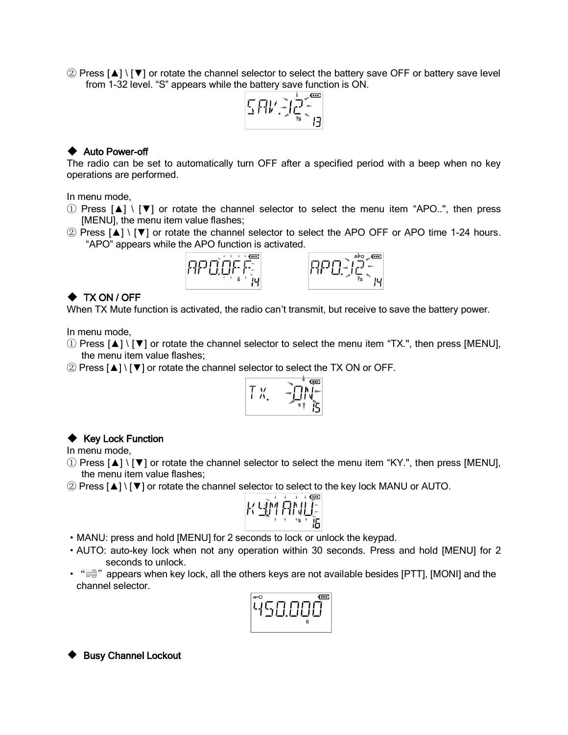② Press [▲] \ [▼] or rotate the channel selector to select the battery save OFF or battery save level from 1-32 level. "S" appears while the battery save function is ON.



#### ◆ Auto Power-off

The radio can be set to automatically turn OFF after a specified period with a beep when no key operations are performed.

In menu mode,

- ① Press [▲] \ [▼] or rotate the channel selector to select the menu item "APO..", then press [MENU], the menu item value flashes;
- ② Press [▲] \ [▼] or rotate the channel selector to select the APO OFF or APO time 1-24 hours. "APO" appears while the APO function is activated.



## ◆ TX ON / OFF

When TX Mute function is activated, the radio can't transmit, but receive to save the battery power.

In menu mode,

- ① Press [▲] \ [▼] or rotate the channel selector to select the menu item "TX.", then press [MENU], the menu item value flashes;
- ② Press [▲] \ [▼] or rotate the channel selector to select the TX ON or OFF.

$$
\overline{y} = \sum_{i=1}^{n} y_i
$$

#### ◆ Key Lock Function

In menu mode,

- ① Press [▲] \ [▼] or rotate the channel selector to select the menu item "KY.", then press [MENU], the menu item value flashes;
- ② Press [▲] \ [▼] or rotate the channel selector to select to the key lock MANU or AUTO.

$$
K\stackrel{\text{def}}{=}\stackrel{\text{def}}{K}\stackrel{\text{def}}{=}\stackrel{\text{def}}{K}
$$

- ·MANU: press and hold [MENU] for 2 seconds to lock or unlock the keypad.
- ·AUTO: auto-key lock when not any operation within 30 seconds. Press and hold [MENU] for 2 seconds to unlock.
- $\cdot$  " $\mathbb{R}^n$ " appears when key lock, all the others keys are not available besides [PTT], [MONI] and the channel selector.

| ς |
|---|
|---|

◆ Busy Channel Lockout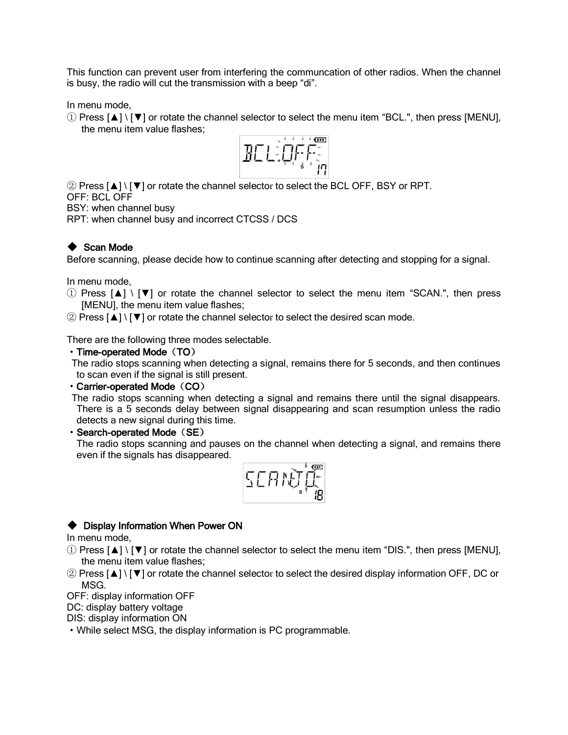This function can prevent user from interfering the communcation of other radios. When the channel is busy, the radio will cut the transmission with a beep "di".

In menu mode,

① Press [▲] \ [▼] or rotate the channel selector to select the menu item "BCL.", then press [MENU], the menu item value flashes;



② Press [▲] \ [▼] or rotate the channel selector to select the BCL OFF, BSY or RPT.

OFF: BCL OFF

BSY: when channel busy

RPT: when channel busy and incorrect CTCSS / DCS

# ◆ Scan Mode

Before scanning, please decide how to continue scanning after detecting and stopping for a signal.

In menu mode,

- ① Press [▲] \ [▼] or rotate the channel selector to select the menu item "SCAN.", then press [MENU], the menu item value flashes;
- ② Press [▲] \ [▼] or rotate the channel selector to select the desired scan mode.

There are the following three modes selectable.

#### • Time-operated Mode (TO)

 The radio stops scanning when detecting a signal, remains there for 5 seconds, and then continues to scan even if the signal is still present.

#### $\cdot$  Carrier-operated Mode (CO)

 The radio stops scanning when detecting a signal and remains there until the signal disappears. There is a 5 seconds delay between signal disappearing and scan resumption unless the radio detects a new signal during this time.

#### • Search-operated Mode (SE)

The radio stops scanning and pauses on the channel when detecting a signal, and remains there even if the signals has disappeared.



## ◆ Display Information When Power ON

In menu mode,

- ① Press [▲] \ [▼] or rotate the channel selector to select the menu item "DIS.", then press [MENU], the menu item value flashes;
- ② Press [▲] \ [▼] or rotate the channel selector to select the desired display information OFF, DC or MSG.

OFF: display information OFF

DC: display battery voltage

DIS: display information ON

·While select MSG, the display information is PC programmable.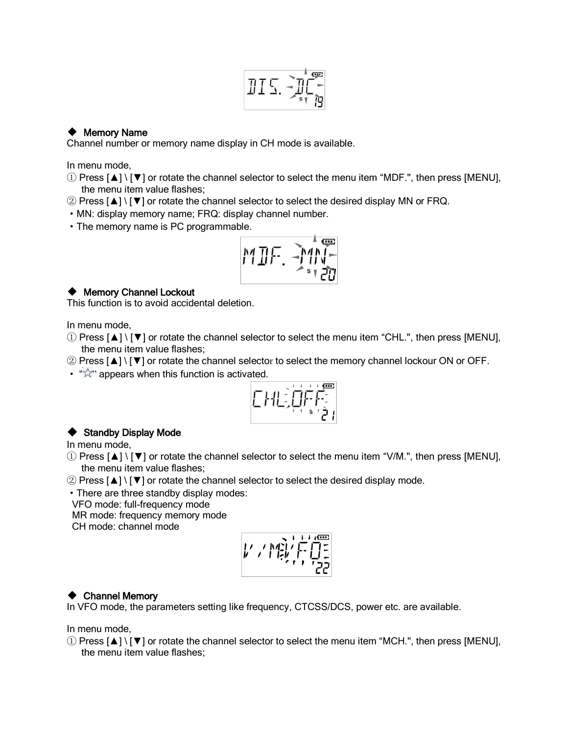$$
\text{I}\text{I}\subseteq \text{I}\text{I}\text{I}\text{I}
$$

## ◆ Memory Name

Channel number or memory name display in CH mode is available.

In menu mode,

- ① Press [▲] \ [▼] or rotate the channel selector to select the menu item "MDF.", then press [MENU], the menu item value flashes;
- ② Press [▲] \ [▼] or rotate the channel selector to select the desired display MN or FRQ.
- ·MN: display memory name; FRQ: display channel number.
- ·The memory name is PC programmable.

$$
\mathsf{MIF.} \xrightarrow{\mathsf{MIF}} \mathsf{H} \mathsf{H}
$$

## ◆ Memory Channel Lockout

This function is to avoid accidental deletion.

In menu mode,

- ① Press [▲] \ [▼] or rotate the channel selector to select the menu item "CHL.", then press [MENU], the menu item value flashes;
- ② Press [▲] \ [▼] or rotate the channel selector to select the memory channel lockour ON or OFF.
- " $\overleftrightarrow{\mathbb{X}}$ " appears when this function is activated.



# ◆ Standby Display Mode

In menu mode,

- ① Press [▲] \ [▼] or rotate the channel selector to select the menu item "V/M.", then press [MENU], the menu item value flashes;
- ② Press [▲] \ [▼] or rotate the channel selector to select the desired display mode.
- ·There are three standby display modes:

VFO mode: full-frequency mode

MR mode: frequency memory mode

CH mode: channel mode

$$
\left| \frac{1}{\sum_{i=1}^{n} \sum_{j=1}^{n} \frac{1}{j} \sum_{j=1}^{n} \frac{1}{j} \sum_{j=1}^{n} \frac{1}{j} \sum_{j=1}^{n} \frac{1}{j} \sum_{j=1}^{n} \frac{1}{j} \sum_{j=1}^{n} \frac{1}{j} \sum_{j=1}^{n} \frac{1}{j} \sum_{j=1}^{n} \frac{1}{j} \sum_{j=1}^{n} \frac{1}{j} \sum_{j=1}^{n} \frac{1}{j} \sum_{j=1}^{n} \frac{1}{j} \sum_{j=1}^{n} \frac{1}{j} \sum_{j=1}^{n} \frac{1}{j} \sum_{j=1}^{n} \frac{1}{j} \sum_{j=1}^{n} \frac{1}{j} \sum_{j=1}^{n} \frac{1}{j} \sum_{j=1}^{n} \frac{1}{j} \sum_{j=1}^{n} \frac{1}{j} \sum_{j=1}^{n} \frac{1}{j} \sum_{j=1}^{n} \frac{1}{j} \sum_{j=1}^{n} \frac{1}{j} \sum_{j=1}^{n} \frac{1}{j} \sum_{j=1}^{n} \frac{1}{j} \sum_{j=1}^{n} \frac{1}{j} \sum_{j=1}^{n} \frac{1}{j} \sum_{j=1}^{n} \frac{1}{j} \sum_{j=1}^{n} \frac{1}{j} \sum_{j=1}^{n} \frac{1}{j} \sum_{j=1}^{n} \frac{1}{j} \sum_{j=1}^{n} \frac{1}{j} \sum_{j=1}^{n} \frac{1}{j} \sum_{j=1}^{n} \frac{1}{j} \sum_{j=1}^{n} \frac{1}{j} \sum_{j=1}^{n} \frac{1}{j} \sum_{j=1}^{n} \frac{1}{j} \sum_{j=1}^{n} \frac{1}{j} \sum_{j=1}^{n} \frac{1}{j} \sum_{j=1}^{n} \frac{1}{j} \sum_{j=1}^{n} \frac{1}{j} \sum_{j=1}^{n} \frac{1}{j} \sum_{j=1}^{n} \frac{1}{j} \sum_{j=1}^{n} \frac{1}{j} \sum_{j=1}^{n} \frac{1}{j} \sum_{j=1}^{n} \
$$

# ◆ Channel Memory

In VFO mode, the parameters setting like frequency, CTCSS/DCS, power etc. are available.

In menu mode,

① Press [▲] \ [▼] or rotate the channel selector to select the menu item "MCH.", then press [MENU], the menu item value flashes;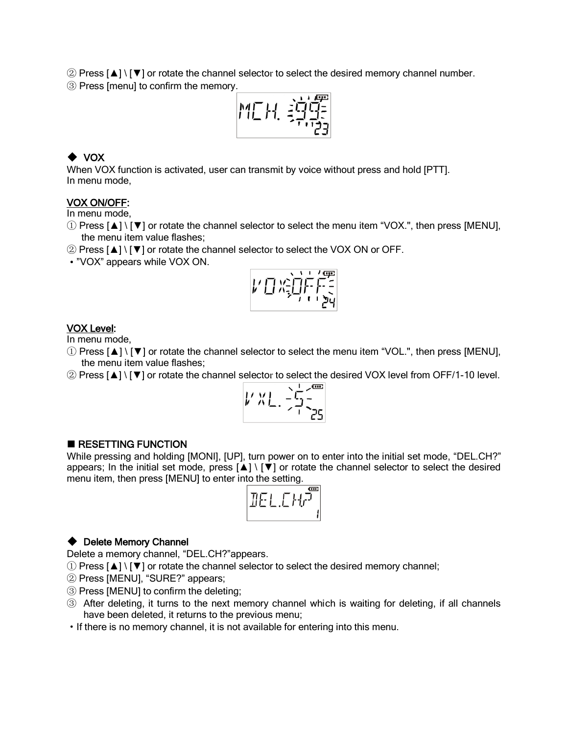② Press [▲] \ [▼] or rotate the channel selector to select the desired memory channel number. ③ Press [menu] to confirm the memory.

$$
M_{L}^{T}H_{1} \stackrel{> \cdots \stackrel{m}{\sim} \stackrel{m}{\sim} \stackrel{m}{\sim} \stackrel{m}{\sim} \stackrel{m}{\sim} \stackrel{m}{\sim} \stackrel{m}{\sim} \stackrel{m}{\sim} \stackrel{m}{\sim} \stackrel{m}{\sim} \stackrel{m}{\sim} \stackrel{m}{\sim} \stackrel{m}{\sim} \stackrel{m}{\sim} \stackrel{m}{\sim} \stackrel{m}{\sim} \stackrel{m}{\sim} \stackrel{m}{\sim} \stackrel{m}{\sim} \stackrel{m}{\sim} \stackrel{m}{\sim} \stackrel{m}{\sim} \stackrel{m}{\sim} \stackrel{m}{\sim} \stackrel{m}{\sim} \stackrel{m}{\sim} \stackrel{m}{\sim} \stackrel{m}{\sim} \stackrel{m}{\sim} \stackrel{m}{\sim} \stackrel{m}{\sim} \stackrel{m}{\sim} \stackrel{m}{\sim} \stackrel{m}{\sim} \stackrel{m}{\sim} \stackrel{m}{\sim} \stackrel{m}{\sim} \stackrel{m}{\sim} \stackrel{m}{\sim} \stackrel{m}{\sim} \stackrel{m}{\sim} \stackrel{m}{\sim} \stackrel{m}{\sim} \stackrel{m}{\sim} \stackrel{m}{\sim} \stackrel{m}{\sim} \stackrel{m}{\sim} \stackrel{m}{\sim} \stackrel{m}{\sim} \stackrel{m}{\sim} \stackrel{m}{\sim} \stackrel{m}{\sim} \stackrel{m}{\sim} \stackrel{m}{\sim} \stackrel{m}{\sim} \stackrel{m}{\sim} \stackrel{m}{\sim} \stackrel{m}{\sim} \stackrel{m}{\sim} \stackrel{m}{\sim} \stackrel{m}{\sim} \stackrel{m}{\sim} \stackrel{m}{\sim} \stackrel{m}{\sim} \stackrel{m}{\sim} \stackrel{m}{\sim} \stackrel{m}{\sim} \stackrel{m}{\sim} \stackrel{m}{\sim} \stackrel{m}{\sim} \stackrel{m}{\sim} \stackrel{m}{\sim} \stackrel{m}{\sim} \stackrel{m}{\sim} \stackrel{m}{\sim} \stackrel{m}{\sim} \stackrel{m}{\sim} \stackrel{m}{\sim} \stackrel{m}{\sim} \stackrel{m}{\sim} \stackrel{m}{\sim} \stackrel{m}{\sim} \stack
$$

# ◆ VOX

When VOX function is activated, user can transmit by voice without press and hold [PTT]. In menu mode,

#### VOX ON/OFF:

In menu mode,

- ① Press [▲] \ [▼] or rotate the channel selector to select the menu item "VOX.", then press [MENU], the menu item value flashes;
- ② Press [▲] \ [▼] or rotate the channel selector to select the VOX ON or OFF.
- ·"VOX" appears while VOX ON.



#### VOX Level:

In menu mode,

- ① Press [▲] \ [▼] or rotate the channel selector to select the menu item "VOL.", then press [MENU], the menu item value flashes;
- ② Press [▲] \ [▼] or rotate the channel selector to select the desired VOX level from OFF/1-10 level.

$$
1' x_1' \cdot \frac{1}{2} \cdot \frac{1}{25}
$$

#### ■ RESETTING FUNCTION

While pressing and holding [MONI], [UP], turn power on to enter into the initial set mode, "DEL.CH?" appears; In the initial set mode, press  $[\triangle] \setminus [\triangledown]$  or rotate the channel selector to select the desired menu item, then press [MENU] to enter into the setting.



#### ◆ Delete Memory Channel

Delete a memory channel, "DEL.CH?"appears.

- ① Press [▲] \ [▼] or rotate the channel selector to select the desired memory channel;
- ② Press [MENU], "SURE?" appears;
- ③ Press [MENU] to confirm the deleting;
- ③ After deleting, it turns to the next memory channel which is waiting for deleting, if all channels have been deleted, it returns to the previous menu;
- ·If there is no memory channel, it is not available for entering into this menu.